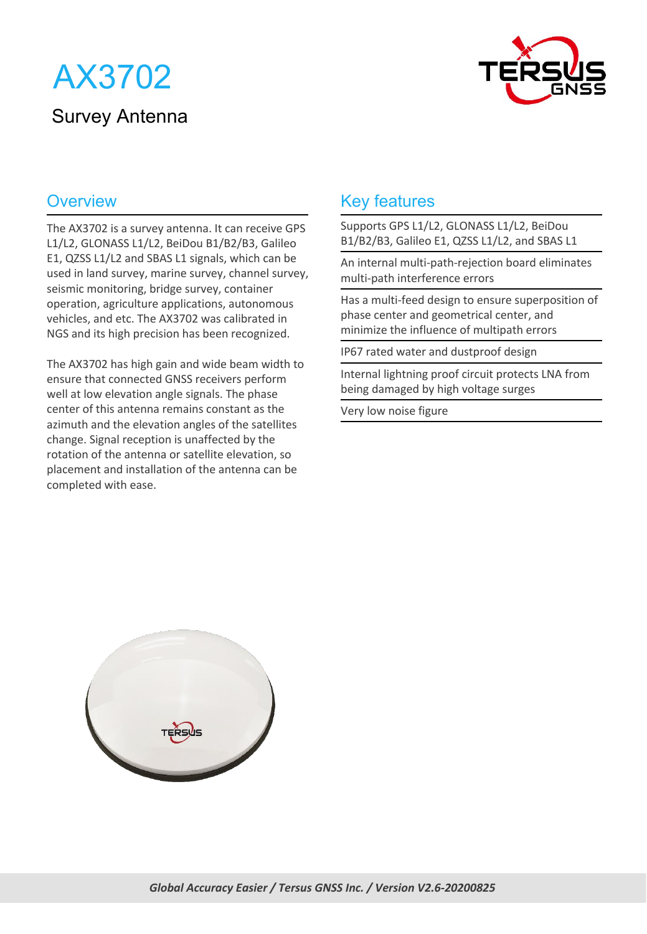



The AX3702 is a survey antenna. It can receive GPS L1/L2, GLONASS L1/L2, BeiDou B1/B2/B3, Galileo E1, QZSS L1/L2 and SBAS L1 signals, which can be used in land survey, marine survey, channel survey, seismic monitoring, bridge survey, container operation, agriculture applications, autonomous vehicles, and etc. The AX3702 was calibrated in NGS and its high precision has been recognized.

The AX3702 has high gain and wide beam width to ensure that connected GNSS receivers perform well at low elevation angle signals. The phase center of this antenna remains constant as the azimuth and the elevation angles of the satellites change. Signal reception is unaffected by the rotation of the antenna or satellite elevation, so placement and installation of the antenna can be completed with ease.

#### Overview **Key features Key features**

Supports GPS L1/L2, GLONASS L1/L2, BeiDou B1/B2/B3, Galileo E1, QZSS L1/L2, and SBAS L1

An internal multi-path-rejection board eliminates multi-path interference errors

Has a multi-feed design to ensure superposition of phase center and geometrical center, and minimize the influence of multipath errors

IP67 rated water and dustproof design

Internal lightning proof circuit protects LNA from being damaged by high voltage surges

Very low noise figure